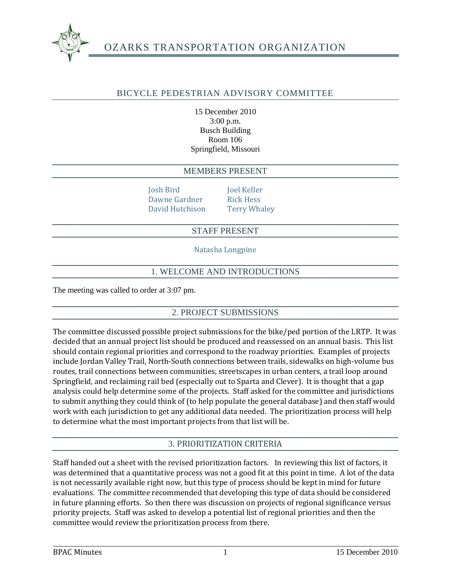

# OZARKS TRANSPORTATION ORGANIZATION

## BICYCLE PEDESTRIAN ADVISORY COMMITTEE

15 December 2010 3:00 p.m. Busch Building Room 106 Springfield, Missouri

#### MEMBERS PRESENT

Josh Bird Joel Keller Dawne Gardner Rick Hess David Hutchison Terry Whaley

#### STAFF PRESENT

Natasha Longpine

### 1. WELCOME AND INTRODUCTIONS

The meeting was called to order at 3:07 pm.

### 2. PROJECT SUBMISSIONS

The committee discussed possible project submissions for the bike/ped portion of the LRTP. It was decided that an annual project list should be produced and reassessed on an annual basis. This list should contain regional priorities and correspond to the roadway priorities. Examples of projects include Jordan Valley Trail, North-South connections between trails, sidewalks on high-volume bus routes, trail connections between communities, streetscapes in urban centers, a trail loop around Springfield, and reclaiming rail bed (especially out to Sparta and Clever). It is thought that a gap analysis could help determine some of the projects. Staff asked for the committee and jurisdictions to submit anything they could think of (to help populate the general database) and then staff would work with each jurisdiction to get any additional data needed. The prioritization process will help to determine what the most important projects from that list will be.

### 3. PRIORITIZATION CRITERIA

Staff handed out a sheet with the revised prioritization factors. In reviewing this list of factors, it was determined that a quantitative process was not a good fit at this point in time. A lot of the data is not necessarily available right now, but this type of process should be kept in mind for future evaluations. The committee recommended that developing this type of data should be considered in future planning efforts. So then there was discussion on projects of regional significance versus priority projects. Staff was asked to develop a potential list of regional priorities and then the committee would review the prioritization process from there.